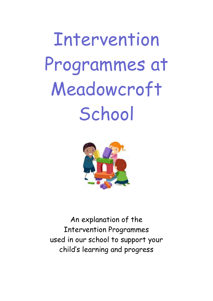Intervention Programmes at Meadowcroft **School** 



An explanation of the Intervention Programmes used in our school to support your child's learning and progress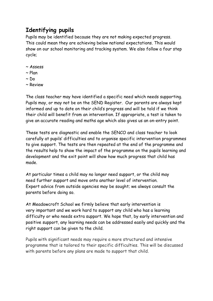## **Identifying pupils**

Pupils may be identified because they are not making expected progress. This could mean they are achieving below national expectations. This would show on our school monitoring and tracking system. We also follow a four step cycle;

- ~ Assess
- $\sim$  Plan
- $\sim$  Do
- ~ Review

The class teacher may have identified a specific need which needs supporting. Pupils may, or may not be on the SEND Register. Our parents are always kept informed and up to date on their child's progress and will be told if we think their child will benefit from an intervention. If appropriate, a test is taken to give an accurate reading and maths age which also gives us an on-entry point.

These tests are diagnostic and enable the SENCO and class teacher to look carefully at pupils' difficulties and to organise specific intervention programmes to give support. The tests are then repeated at the end of the programme and the results help to show the impact of the programme on the pupils learning and development and the exit point will show how much progress that child has made.

At particular times a child may no longer need support, or the child may need further support and move onto another level of intervention. Expert advice from outside agencies may be sought; we always consult the parents before doing so.

At Meadowcroft School we firmly believe that early intervention is very important and we work hard to support any child who has a learning difficulty or who needs extra support. We hope that, by early intervention and positive support, any learning needs can be addressed easily and quickly and the right support can be given to the child.

Pupils with significant needs may require a more structured and intensive programme that is tailored to their specific difficulties. This will be discussed with parents before any plans are made to support that child.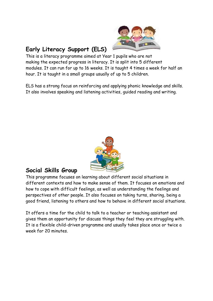

# **Early Literacy Support (ELS)**

This is a literacy programme aimed at Year 1 pupils who are not making the expected progress in literacy. It is split into 5 different modules. It can run for up to 16 weeks. It is taught 4 times a week for half an hour. It is taught in a small groups usually of up to 5 children.

ELS has a strong focus on reinforcing and applying phonic knowledge and skills. It also involves speaking and listening activities, guided reading and writing.



#### **Social Skills Group**

This programme focuses on learning about different social situations in different contexts and how to make sense of them. It focuses on emotions and how to cope with difficult feelings, as well as understanding the feelings and perspectives of other people. It also focuses on taking turns, sharing, being a good friend, listening to others and how to behave in different social situations.

It offers a time for the child to talk to a teacher or teaching assistant and gives them an opportunity for discuss things they feel they are struggling with. It is a flexible child-driven programme and usually takes place once or twice a week for 20 minutes.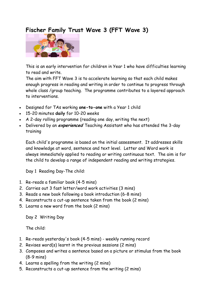## **Fischer Family Trust Wave 3 (FFT Wave 3)**



This is an early intervention for children in Year 1 who have difficulties learning to read and write.

The aim with FFT Wave 3 is to accelerate learning so that each child makes enough progress in reading and writing in order to continue to progress through whole class /group teaching. The programme contributes to a layered approach to interventions.

- Designed for TAs working **one-to-one** with a Year 1 child
- 15-20 minutes **daily** for 10-20 weeks
- A 2-day rolling programme (reading one day, writing the next)
- Delivered by an **experienced** Teaching Assistant who has attended the 3-day training

Each child's programme is based on the initial assessment. It addresses skills and knowledge at word, sentence and text level. Letter and Word work is always immediately applied to reading or writing continuous text. The aim is for the child to develop a range of independent reading and writing strategies.

Day 1 Reading Day-The child:

- 1. Re-reads a familiar book (4-5 mins)
- 2. Carries out 3 fast letter/word work activities (3 mins)
- 3. Reads a new book following a book introduction (6-8 mins)
- 4. Reconstructs a cut-up sentence taken from the book (2 mins)
- 5. Learns a new word from the book (2 mins)

Day 2 Writing Day

The child:

- 1. Re-reads yesterday's book (4-5 mins) weekly running record
- 2. Revises word(s) learnt in the previous sessions (2 mins)
- 3. Composes and writes a sentence based on a picture or stimulus from the book (8-9 mins)
- 4. Learns a spelling from the writing (2 mins)
- 5. Reconstructs a cut-up sentence from the writing (2 mins)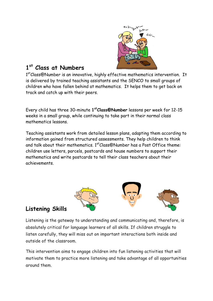

### **1 st Class at Numbers**

1<sup>st</sup>Class@Number is an innovative, highly effective mathematics intervention. It is delivered by trained teaching assistants and the SENCO to small groups of children who have fallen behind at mathematics. It helps them to get back on track and catch up with their peers.

Every child has three 30-minute **1 stClass@Number** lessons per week for 12-15 weeks in a small group, while continuing to take part in their normal class mathematics lessons.

Teaching assistants work from detailed lesson plans, adapting them according to information gained from structured assessments. They help children to think and talk about their mathematics.  $1<sup>st</sup>Class@Number$  has a Post Office theme: children use letters, parcels, postcards and house numbers to support their mathematics and write postcards to tell their class teachers about their achievements.



# **Listening Skills**

Listening is the gateway to understanding and communicating and, therefore, is absolutely critical for language learners of all skills. If children struggle to listen carefully, they will miss out on important interactions both inside and outside of the classroom.

This intervention aims to engage children into fun listening activities that will motivate them to practice more listening and take advantage of all opportunities around them.